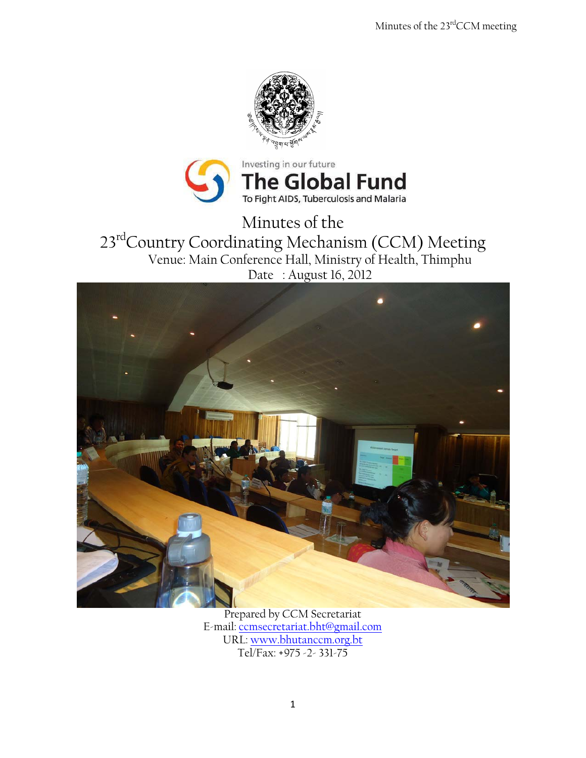



Minutes of the 23<sup>rd</sup>Country Coordinating Mechanism (CCM) Meeting Venue: Main Conference Hall, Ministry of Health, Thimphu Date : August 16, 2012



Prepared by CCM Secretariat E-mail: [ccmsecretariat.bht@gmail.com](mailto:ccmsecretariat.bht@gmail.com) URL: [www.bhutanccm.org.bt](http://www.bhutanccm.org.bt/) Tel/Fax: +975 -2- 331-75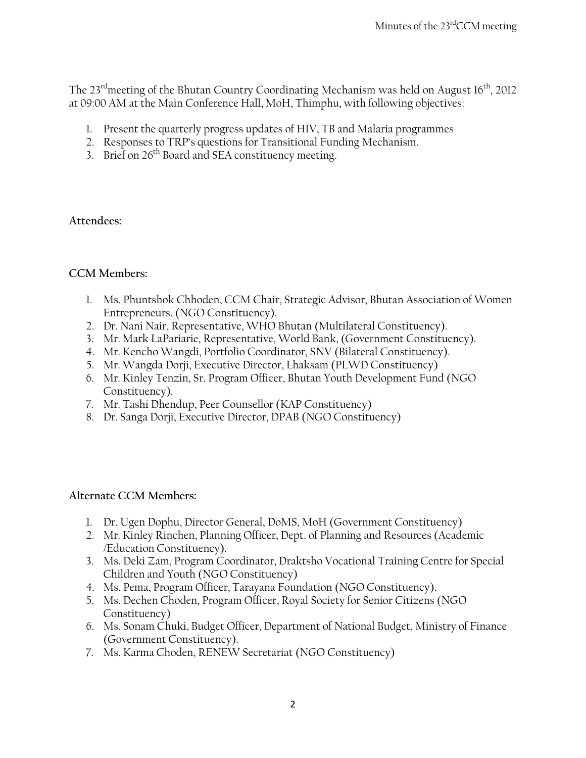The  $23<sup>rd</sup>$  meeting of the Bhutan Country Coordinating Mechanism was held on August  $16<sup>th</sup>$ , 2012 at 09:00 AM at the Main Conference Hall, MoH, Thimphu, with following objectives:

- 1. Present the quarterly progress updates of HIV, TB and Malaria programmes
- 2. Responses to TRP's questions for Transitional Funding Mechanism.
- 3. Brief on  $26<sup>th</sup>$  Board and SEA constituency meeting.

## **Attendees:**

# **CCM Members:**

- 1. Ms. Phuntshok Chhoden, CCM Chair, Strategic Advisor, Bhutan Association of Women Entrepreneurs. (NGO Constituency).
- 2. Dr. Nani Nair, Representative, WHO Bhutan (Multilateral Constituency).
- 3. Mr. Mark LaPariarie, Representative, World Bank, (Government Constituency).
- 4. Mr. Kencho Wangdi, Portfolio Coordinator, SNV (Bilateral Constituency).
- 5. Mr. Wangda Dorji, Executive Director, Lhaksam (PLWD Constituency)
- 6. Mr. Kinley Tenzin, Sr. Program Officer, Bhutan Youth Development Fund (NGO Constituency).
- 7. Mr. Tashi Dhendup, Peer Counsellor (KAP Constituency)
- 8. Dr. Sanga Dorji, Executive Director, DPAB (NGO Constituency)

## **Alternate CCM Members:**

- 1. Dr. Ugen Dophu, Director General, DoMS, MoH (Government Constituency)
- 2. Mr. Kinley Rinchen, Planning Officer, Dept. of Planning and Resources (Academic /Education Constituency).
- 3. Ms. Deki Zam, Program Coordinator, Draktsho Vocational Training Centre for Special Children and Youth (NGO Constituency)
- 4. Ms. Pema, Program Officer, Tarayana Foundation (NGO Constituency).
- 5. Ms. Dechen Choden, Program Officer, Royal Society for Senior Citizens (NGO Constituency)
- 6. Ms. Sonam Chuki, Budget Officer, Department of National Budget, Ministry of Finance (Government Constituency).
- 7. Ms. Karma Choden, RENEW Secretariat (NGO Constituency)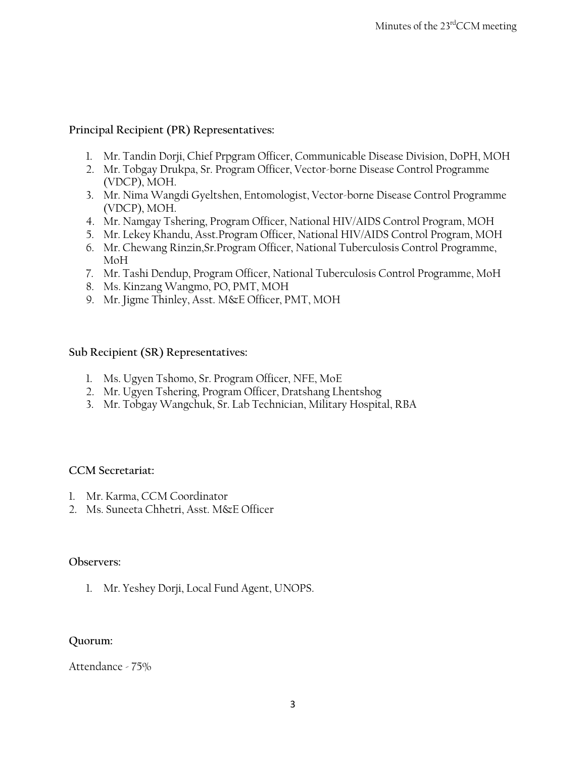# **Principal Recipient (PR) Representatives:**

- 1. Mr. Tandin Dorji, Chief Prpgram Officer, Communicable Disease Division, DoPH, MOH
- 2. Mr. Tobgay Drukpa, Sr. Program Officer, Vector-borne Disease Control Programme (VDCP), MOH.
- 3. Mr. Nima Wangdi Gyeltshen, Entomologist, Vector-borne Disease Control Programme (VDCP), MOH.
- 4. Mr. Namgay Tshering, Program Officer, National HIV/AIDS Control Program, MOH
- 5. Mr. Lekey Khandu, Asst.Program Officer, National HIV/AIDS Control Program, MOH
- 6. Mr. Chewang Rinzin,Sr.Program Officer, National Tuberculosis Control Programme, MoH
- 7. Mr. Tashi Dendup, Program Officer, National Tuberculosis Control Programme, MoH
- 8. Ms. Kinzang Wangmo, PO, PMT, MOH
- 9. Mr. Jigme Thinley, Asst. M&E Officer, PMT, MOH

#### **Sub Recipient (SR) Representatives:**

- 1. Ms. Ugyen Tshomo, Sr. Program Officer, NFE, MoE
- 2. Mr. Ugyen Tshering, Program Officer, Dratshang Lhentshog
- 3. Mr. Tobgay Wangchuk, Sr. Lab Technician, Military Hospital, RBA

#### **CCM Secretariat:**

- 1. Mr. Karma, CCM Coordinator
- 2. Ms. Suneeta Chhetri, Asst. M&E Officer

#### **Observers:**

1. Mr. Yeshey Dorji, Local Fund Agent, UNOPS.

## **Quorum:**

Attendance - 75%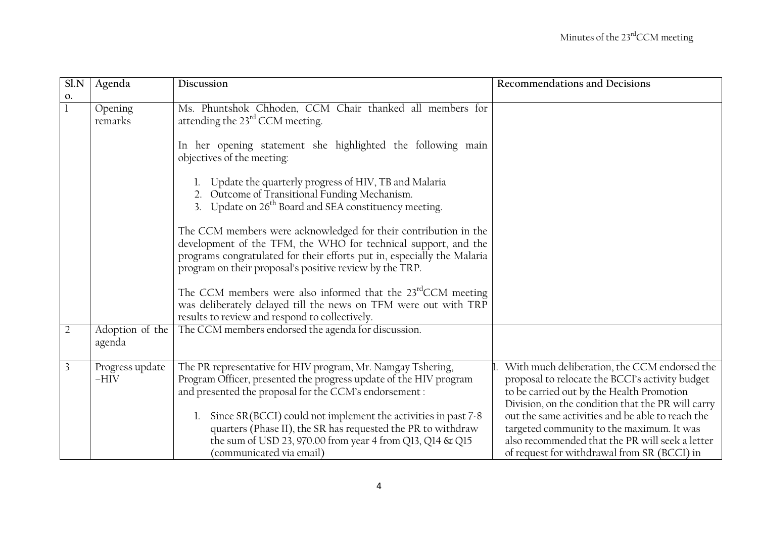| Sl.N           | Agenda                    | Discussion                                                                                                                                                                                                                                                                                                                                                                               | Recommendations and Decisions                                                                                                                                                                                                                                                                                                                         |
|----------------|---------------------------|------------------------------------------------------------------------------------------------------------------------------------------------------------------------------------------------------------------------------------------------------------------------------------------------------------------------------------------------------------------------------------------|-------------------------------------------------------------------------------------------------------------------------------------------------------------------------------------------------------------------------------------------------------------------------------------------------------------------------------------------------------|
| 0.             |                           |                                                                                                                                                                                                                                                                                                                                                                                          |                                                                                                                                                                                                                                                                                                                                                       |
|                | Opening<br>remarks        | Ms. Phuntshok Chhoden, CCM Chair thanked all members for<br>attending the 23 <sup>rd</sup> CCM meeting.                                                                                                                                                                                                                                                                                  |                                                                                                                                                                                                                                                                                                                                                       |
|                |                           | In her opening statement she highlighted the following main<br>objectives of the meeting:                                                                                                                                                                                                                                                                                                |                                                                                                                                                                                                                                                                                                                                                       |
|                |                           | Update the quarterly progress of HIV, TB and Malaria<br>2. Outcome of Transitional Funding Mechanism.<br>3. Update on 26 <sup>th</sup> Board and SEA constituency meeting.                                                                                                                                                                                                               |                                                                                                                                                                                                                                                                                                                                                       |
|                |                           | The CCM members were acknowledged for their contribution in the<br>development of the TFM, the WHO for technical support, and the<br>programs congratulated for their efforts put in, especially the Malaria<br>program on their proposal's positive review by the TRP.                                                                                                                  |                                                                                                                                                                                                                                                                                                                                                       |
|                |                           | The CCM members were also informed that the 23 <sup>rd</sup> CCM meeting<br>was deliberately delayed till the news on TFM were out with TRP<br>results to review and respond to collectively.                                                                                                                                                                                            |                                                                                                                                                                                                                                                                                                                                                       |
| $\overline{2}$ | Adoption of the<br>agenda | The CCM members endorsed the agenda for discussion.                                                                                                                                                                                                                                                                                                                                      |                                                                                                                                                                                                                                                                                                                                                       |
| $\overline{3}$ | Progress update<br>$-HIV$ | The PR representative for HIV program, Mr. Namgay Tshering,<br>Program Officer, presented the progress update of the HIV program<br>and presented the proposal for the CCM's endorsement :<br>Since SR(BCCI) could not implement the activities in past 7-8<br>quarters (Phase II), the SR has requested the PR to withdraw<br>the sum of USD 23, 970.00 from year 4 from Q13, Q14 & Q15 | With much deliberation, the CCM endorsed the<br>proposal to relocate the BCCI's activity budget<br>to be carried out by the Health Promotion<br>Division, on the condition that the PR will carry<br>out the same activities and be able to reach the<br>targeted community to the maximum. It was<br>also recommended that the PR will seek a letter |
|                |                           | (communicated via email)                                                                                                                                                                                                                                                                                                                                                                 | of request for withdrawal from SR (BCCI) in                                                                                                                                                                                                                                                                                                           |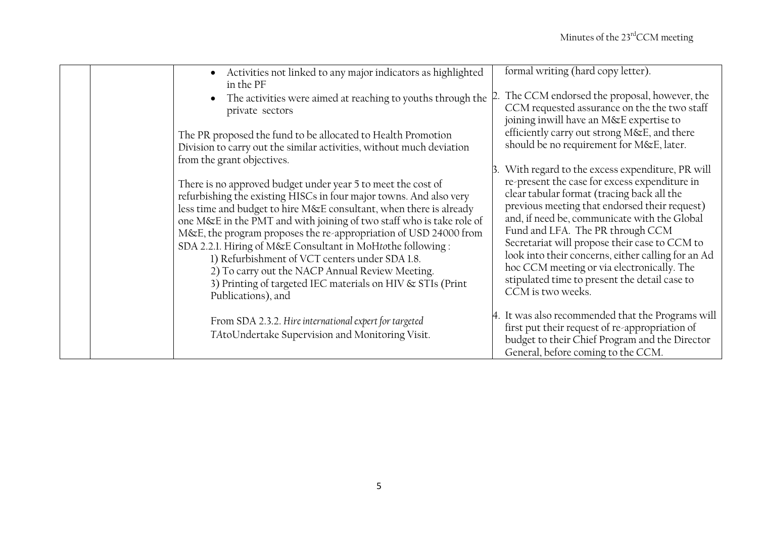|  | Activities not linked to any major indicators as highlighted<br>in the PF                                                                                                                                                                                                                                                                                                                                                                                                                                                                                                                                    | formal writing (hard copy letter).                                                                                                                                                                                                                                                                                                                                                                                                                          |
|--|--------------------------------------------------------------------------------------------------------------------------------------------------------------------------------------------------------------------------------------------------------------------------------------------------------------------------------------------------------------------------------------------------------------------------------------------------------------------------------------------------------------------------------------------------------------------------------------------------------------|-------------------------------------------------------------------------------------------------------------------------------------------------------------------------------------------------------------------------------------------------------------------------------------------------------------------------------------------------------------------------------------------------------------------------------------------------------------|
|  | The activities were aimed at reaching to youths through the<br>private sectors                                                                                                                                                                                                                                                                                                                                                                                                                                                                                                                               | The CCM endorsed the proposal, however, the<br>CCM requested assurance on the the two staff<br>joining inwill have an M&E expertise to                                                                                                                                                                                                                                                                                                                      |
|  | The PR proposed the fund to be allocated to Health Promotion<br>Division to carry out the similar activities, without much deviation<br>from the grant objectives.                                                                                                                                                                                                                                                                                                                                                                                                                                           | efficiently carry out strong M&E, and there<br>should be no requirement for M&E, later.                                                                                                                                                                                                                                                                                                                                                                     |
|  |                                                                                                                                                                                                                                                                                                                                                                                                                                                                                                                                                                                                              | With regard to the excess expenditure, PR will                                                                                                                                                                                                                                                                                                                                                                                                              |
|  | There is no approved budget under year 5 to meet the cost of<br>refurbishing the existing HISCs in four major towns. And also very<br>less time and budget to hire M&E consultant, when there is already<br>one M&E in the PMT and with joining of two staff who is take role of<br>M&E, the program proposes the re-appropriation of USD 24000 from<br>SDA 2.2.1. Hiring of M&E Consultant in MoHtothe following:<br>1) Refurbishment of VCT centers under SDA 1.8.<br>2) To carry out the NACP Annual Review Meeting.<br>3) Printing of targeted IEC materials on HIV & STIs (Print)<br>Publications), and | re-present the case for excess expenditure in<br>clear tabular format (tracing back all the<br>previous meeting that endorsed their request)<br>and, if need be, communicate with the Global<br>Fund and LFA. The PR through CCM<br>Secretariat will propose their case to CCM to<br>look into their concerns, either calling for an Ad<br>hoc CCM meeting or via electronically. The<br>stipulated time to present the detail case to<br>CCM is two weeks. |
|  | From SDA 2.3.2. Hire international expert for targeted<br>TAtoUndertake Supervision and Monitoring Visit.                                                                                                                                                                                                                                                                                                                                                                                                                                                                                                    | 4. It was also recommended that the Programs will<br>first put their request of re-appropriation of<br>budget to their Chief Program and the Director<br>General, before coming to the CCM.                                                                                                                                                                                                                                                                 |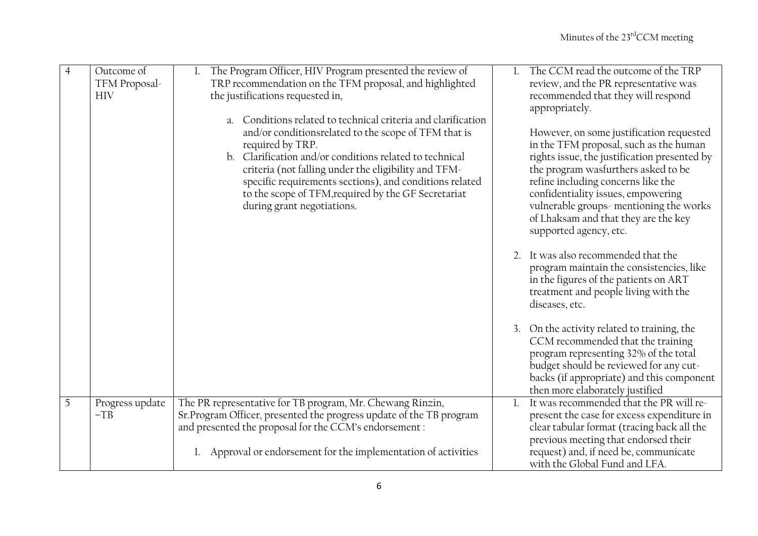| $\overline{4}$ | Outcome of<br>TFM Proposal-<br><b>HIV</b> | The Program Officer, HIV Program presented the review of<br>1.<br>TRP recommendation on the TFM proposal, and highlighted<br>the justifications requested in,<br>Conditions related to technical criteria and clarification<br>a <sub>1</sub><br>and/or conditionsrelated to the scope of TFM that is<br>required by TRP.<br>b. Clarification and/or conditions related to technical<br>criteria (not falling under the eligibility and TFM-<br>specific requirements sections), and conditions related<br>to the scope of TFM, required by the GF Secretariat<br>during grant negotiations. |                | The CCM read the outcome of the TRP<br>review, and the PR representative was<br>recommended that they will respond<br>appropriately.<br>However, on some justification requested<br>in the TFM proposal, such as the human<br>rights issue, the justification presented by<br>the program wasfurthers asked to be<br>refine including concerns like the<br>confidentiality issues, empowering<br>vulnerable groups-mentioning the works<br>of Lhaksam and that they are the key<br>supported agency, etc.<br>2. It was also recommended that the<br>program maintain the consistencies, like<br>in the figures of the patients on ART<br>treatment and people living with the<br>diseases, etc.<br>3. On the activity related to training, the<br>CCM recommended that the training<br>program representing 32% of the total<br>budget should be reviewed for any cut-<br>backs (if appropriate) and this component |
|----------------|-------------------------------------------|----------------------------------------------------------------------------------------------------------------------------------------------------------------------------------------------------------------------------------------------------------------------------------------------------------------------------------------------------------------------------------------------------------------------------------------------------------------------------------------------------------------------------------------------------------------------------------------------|----------------|---------------------------------------------------------------------------------------------------------------------------------------------------------------------------------------------------------------------------------------------------------------------------------------------------------------------------------------------------------------------------------------------------------------------------------------------------------------------------------------------------------------------------------------------------------------------------------------------------------------------------------------------------------------------------------------------------------------------------------------------------------------------------------------------------------------------------------------------------------------------------------------------------------------------|
|                |                                           |                                                                                                                                                                                                                                                                                                                                                                                                                                                                                                                                                                                              |                | then more elaborately justified                                                                                                                                                                                                                                                                                                                                                                                                                                                                                                                                                                                                                                                                                                                                                                                                                                                                                     |
| 5              | Progress update<br>$-TB$                  | The PR representative for TB program, Mr. Chewang Rinzin,<br>Sr. Program Officer, presented the progress update of the TB program<br>and presented the proposal for the CCM's endorsement :<br>Approval or endorsement for the implementation of activities                                                                                                                                                                                                                                                                                                                                  | $\mathbf{l}$ . | It was recommended that the PR will re-<br>present the case for excess expenditure in<br>clear tabular format (tracing back all the<br>previous meeting that endorsed their<br>request) and, if need be, communicate<br>with the Global Fund and LFA.                                                                                                                                                                                                                                                                                                                                                                                                                                                                                                                                                                                                                                                               |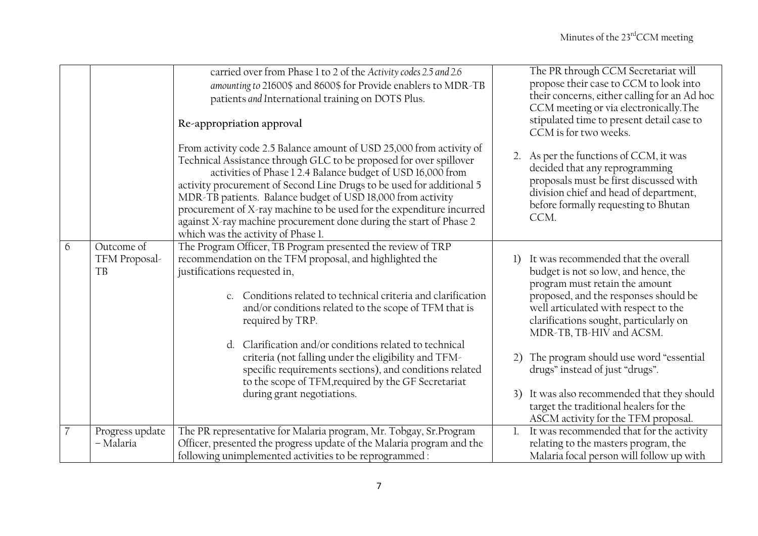|                          |                             | carried over from Phase 1 to 2 of the Activity codes 2.5 and 2.6<br>amounting to 21600\$ and 8600\$ for Provide enablers to MDR-TB<br>patients and International training on DOTS Plus.<br>Re-appropriation approval                                                                                                                                                                                                                                                                                                                 | The PR through CCM Secretariat will<br>propose their case to CCM to look into<br>their concerns, either calling for an Ad hoc<br>CCM meeting or via electronically. The<br>stipulated time to present detail case to<br>CCM is for two weeks. |
|--------------------------|-----------------------------|--------------------------------------------------------------------------------------------------------------------------------------------------------------------------------------------------------------------------------------------------------------------------------------------------------------------------------------------------------------------------------------------------------------------------------------------------------------------------------------------------------------------------------------|-----------------------------------------------------------------------------------------------------------------------------------------------------------------------------------------------------------------------------------------------|
|                          |                             | From activity code 2.5 Balance amount of USD 25,000 from activity of<br>Technical Assistance through GLC to be proposed for over spillover<br>activities of Phase 12.4 Balance budget of USD 16,000 from<br>activity procurement of Second Line Drugs to be used for additional 5<br>MDR-TB patients. Balance budget of USD 18,000 from activity<br>procurement of X-ray machine to be used for the expenditure incurred<br>against X-ray machine procurement done during the start of Phase 2<br>which was the activity of Phase 1. | 2. As per the functions of CCM, it was<br>decided that any reprogramming<br>proposals must be first discussed with<br>division chief and head of department,<br>before formally requesting to Bhutan<br>CCM.                                  |
| 6                        | Outcome of<br>TFM Proposal- | The Program Officer, TB Program presented the review of TRP<br>recommendation on the TFM proposal, and highlighted the                                                                                                                                                                                                                                                                                                                                                                                                               | It was recommended that the overall<br>1)                                                                                                                                                                                                     |
|                          | TB                          | justifications requested in,<br>Conditions related to technical criteria and clarification<br>$\mathcal{C}$<br>and/or conditions related to the scope of TFM that is<br>required by TRP.                                                                                                                                                                                                                                                                                                                                             | budget is not so low, and hence, the<br>program must retain the amount<br>proposed, and the responses should be<br>well articulated with respect to the<br>clarifications sought, particularly on<br>MDR-TB, TB-HIV and ACSM.                 |
|                          |                             | Clarification and/or conditions related to technical<br>d.<br>criteria (not falling under the eligibility and TFM-<br>specific requirements sections), and conditions related<br>to the scope of TFM, required by the GF Secretariat                                                                                                                                                                                                                                                                                                 | The program should use word "essential<br>2)<br>drugs" instead of just "drugs".                                                                                                                                                               |
|                          |                             | during grant negotiations.                                                                                                                                                                                                                                                                                                                                                                                                                                                                                                           | 3) It was also recommended that they should<br>target the traditional healers for the<br>ASCM activity for the TFM proposal.                                                                                                                  |
| $\overline{\mathcal{U}}$ | Progress update             | The PR representative for Malaria program, Mr. Tobgay, Sr.Program                                                                                                                                                                                                                                                                                                                                                                                                                                                                    | It was recommended that for the activity                                                                                                                                                                                                      |
|                          | - Malaria                   | Officer, presented the progress update of the Malaria program and the<br>following unimplemented activities to be reprogrammed :                                                                                                                                                                                                                                                                                                                                                                                                     | relating to the masters program, the<br>Malaria focal person will follow up with                                                                                                                                                              |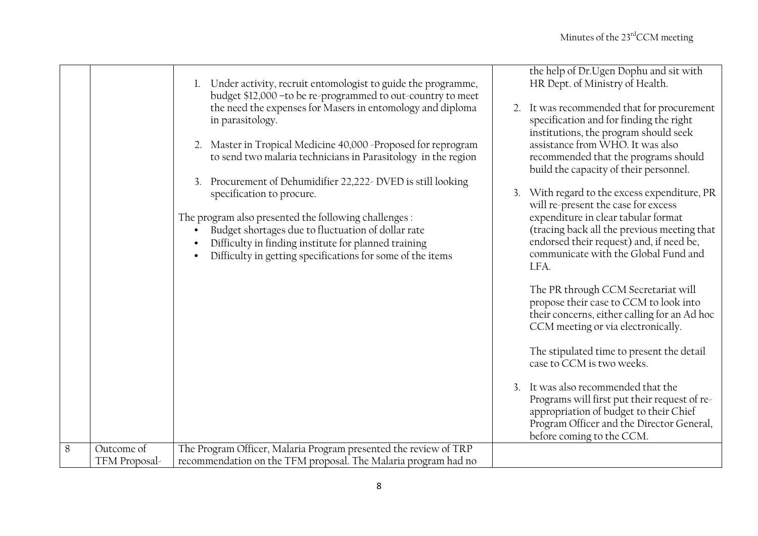|   |               | Under activity, recruit entomologist to guide the programme,<br>budget \$12,000 - to be re-programmed to out-country to meet<br>the need the expenses for Masers in entomology and diploma<br>in parasitology.<br>2. Master in Tropical Medicine 40,000 -Proposed for reprogram<br>to send two malaria technicians in Parasitology in the region<br>3. Procurement of Dehumidifier 22,222- DVED is still looking<br>specification to procure.<br>The program also presented the following challenges :<br>Budget shortages due to fluctuation of dollar rate<br>Difficulty in finding institute for planned training<br>Difficulty in getting specifications for some of the items | the help of Dr.Ugen Dophu and sit with<br>HR Dept. of Ministry of Health.<br>2. It was recommended that for procurement<br>specification and for finding the right<br>institutions, the program should seek<br>assistance from WHO. It was also<br>recommended that the programs should<br>build the capacity of their personnel.<br>3. With regard to the excess expenditure, PR<br>will re-present the case for excess<br>expenditure in clear tabular format<br>(tracing back all the previous meeting that<br>endorsed their request) and, if need be,<br>communicate with the Global Fund and<br>LFA. |
|---|---------------|------------------------------------------------------------------------------------------------------------------------------------------------------------------------------------------------------------------------------------------------------------------------------------------------------------------------------------------------------------------------------------------------------------------------------------------------------------------------------------------------------------------------------------------------------------------------------------------------------------------------------------------------------------------------------------|------------------------------------------------------------------------------------------------------------------------------------------------------------------------------------------------------------------------------------------------------------------------------------------------------------------------------------------------------------------------------------------------------------------------------------------------------------------------------------------------------------------------------------------------------------------------------------------------------------|
|   |               |                                                                                                                                                                                                                                                                                                                                                                                                                                                                                                                                                                                                                                                                                    | The PR through CCM Secretariat will<br>propose their case to CCM to look into<br>their concerns, either calling for an Ad hoc<br>CCM meeting or via electronically.                                                                                                                                                                                                                                                                                                                                                                                                                                        |
|   |               |                                                                                                                                                                                                                                                                                                                                                                                                                                                                                                                                                                                                                                                                                    | The stipulated time to present the detail<br>case to CCM is two weeks.                                                                                                                                                                                                                                                                                                                                                                                                                                                                                                                                     |
|   |               |                                                                                                                                                                                                                                                                                                                                                                                                                                                                                                                                                                                                                                                                                    | It was also recommended that the<br>Programs will first put their request of re-<br>appropriation of budget to their Chief<br>Program Officer and the Director General,<br>before coming to the CCM.                                                                                                                                                                                                                                                                                                                                                                                                       |
| 8 | Outcome of    | The Program Officer, Malaria Program presented the review of TRP                                                                                                                                                                                                                                                                                                                                                                                                                                                                                                                                                                                                                   |                                                                                                                                                                                                                                                                                                                                                                                                                                                                                                                                                                                                            |
|   | TFM Proposal- | recommendation on the TFM proposal. The Malaria program had no                                                                                                                                                                                                                                                                                                                                                                                                                                                                                                                                                                                                                     |                                                                                                                                                                                                                                                                                                                                                                                                                                                                                                                                                                                                            |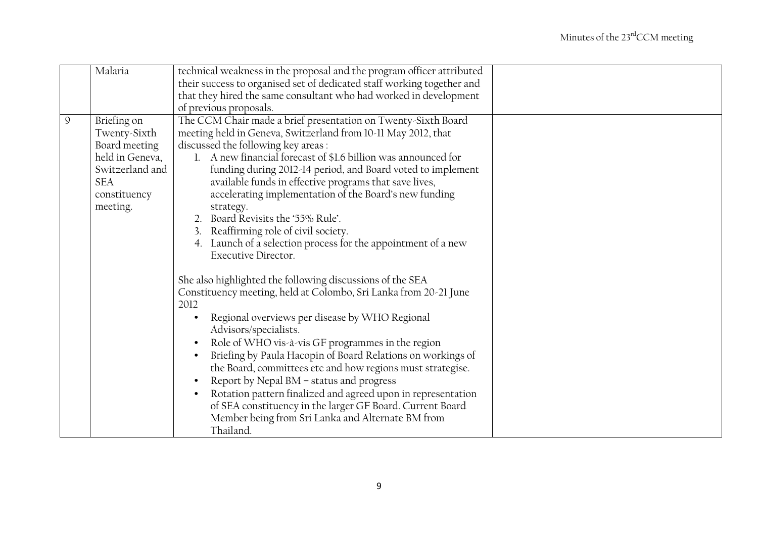|               | Malaria                                                                                                          | technical weakness in the proposal and the program officer attributed                                                                                                                                                                                                                                                                                                                                                                                                                                                                                                                                                                                                                                          |  |
|---------------|------------------------------------------------------------------------------------------------------------------|----------------------------------------------------------------------------------------------------------------------------------------------------------------------------------------------------------------------------------------------------------------------------------------------------------------------------------------------------------------------------------------------------------------------------------------------------------------------------------------------------------------------------------------------------------------------------------------------------------------------------------------------------------------------------------------------------------------|--|
|               |                                                                                                                  | their success to organised set of dedicated staff working together and                                                                                                                                                                                                                                                                                                                                                                                                                                                                                                                                                                                                                                         |  |
|               |                                                                                                                  | that they hired the same consultant who had worked in development                                                                                                                                                                                                                                                                                                                                                                                                                                                                                                                                                                                                                                              |  |
|               |                                                                                                                  | of previous proposals.                                                                                                                                                                                                                                                                                                                                                                                                                                                                                                                                                                                                                                                                                         |  |
| $\mathcal{Q}$ | Briefing on<br>Twenty-Sixth<br>Board meeting<br>held in Geneva,<br>Switzerland and<br><b>SEA</b><br>constituency | The CCM Chair made a brief presentation on Twenty-Sixth Board<br>meeting held in Geneva, Switzerland from 10-11 May 2012, that<br>discussed the following key areas:<br>1. A new financial forecast of \$1.6 billion was announced for<br>funding during 2012-14 period, and Board voted to implement<br>available funds in effective programs that save lives,<br>accelerating implementation of the Board's new funding                                                                                                                                                                                                                                                                                      |  |
|               | meeting.                                                                                                         | strategy.<br>2. Board Revisits the '55% Rule'.<br>3. Reaffirming role of civil society.<br>4. Launch of a selection process for the appointment of a new<br><b>Executive Director.</b>                                                                                                                                                                                                                                                                                                                                                                                                                                                                                                                         |  |
|               |                                                                                                                  | She also highlighted the following discussions of the SEA<br>Constituency meeting, held at Colombo, Sri Lanka from 20-21 June<br>2012<br>Regional overviews per disease by WHO Regional<br>$\bullet$<br>Advisors/specialists.<br>Role of WHO vis-à-vis GF programmes in the region<br>$\bullet$<br>Briefing by Paula Hacopin of Board Relations on workings of<br>$\bullet$<br>the Board, committees etc and how regions must strategise.<br>Report by Nepal BM - status and progress<br>$\bullet$<br>Rotation pattern finalized and agreed upon in representation<br>$\bullet$<br>of SEA constituency in the larger GF Board. Current Board<br>Member being from Sri Lanka and Alternate BM from<br>Thailand. |  |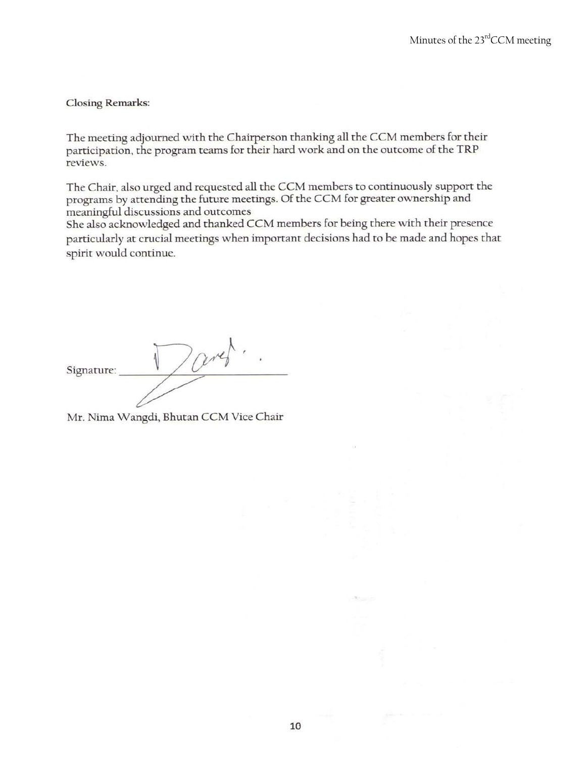**Closing Remarks:** 

The meeting adjourned with the Chairperson thanking all the CCM members for their participation, the program teams for their hard work and on the outcome of the TRP reviews.

The Chair, also urged and requested all the CCM members to continuously support the programs by attending the future meetings. Of the CCM for greater ownership and meaningful discussions and outcomes

She also acknowledged and thanked CCM members for being there with their presence particularly at crucial meetings when important decisions had to be made and hopes that spirit would continue.

 $\sqrt{\alpha}r$ Signature:

Mr. Nima Wangdi, Bhutan CCM Vice Chair